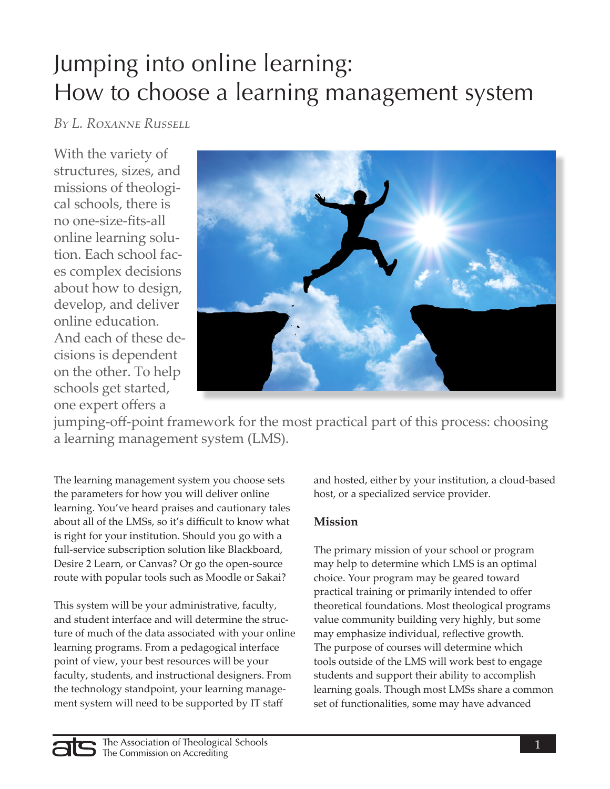# Jumping into online learning: How to choose a learning management system

*By L. Roxanne Russell*

With the variety of structures, sizes, and missions of theological schools, there is no one-size-fits-all online learning solution. Each school faces complex decisions about how to design, develop, and deliver online education. And each of these decisions is dependent on the other. To help schools get started, one expert offers a



jumping-off-point framework for the most practical part of this process: choosing a learning management system (LMS).

The learning management system you choose sets the parameters for how you will deliver online learning. You've heard praises and cautionary tales about all of the LMSs, so it's difficult to know what is right for your institution. Should you go with a full-service subscription solution like Blackboard, Desire 2 Learn, or Canvas? Or go the open-source route with popular tools such as Moodle or Sakai?

This system will be your administrative, faculty, and student interface and will determine the structure of much of the data associated with your online learning programs. From a pedagogical interface point of view, your best resources will be your faculty, students, and instructional designers. From the technology standpoint, your learning management system will need to be supported by IT staff

and hosted, either by your institution, a cloud-based host, or a specialized service provider.

## **Mission**

The primary mission of your school or program may help to determine which LMS is an optimal choice. Your program may be geared toward practical training or primarily intended to offer theoretical foundations. Most theological programs value community building very highly, but some may emphasize individual, reflective growth. The purpose of courses will determine which tools outside of the LMS will work best to engage students and support their ability to accomplish learning goals. Though most LMSs share a common set of functionalities, some may have advanced

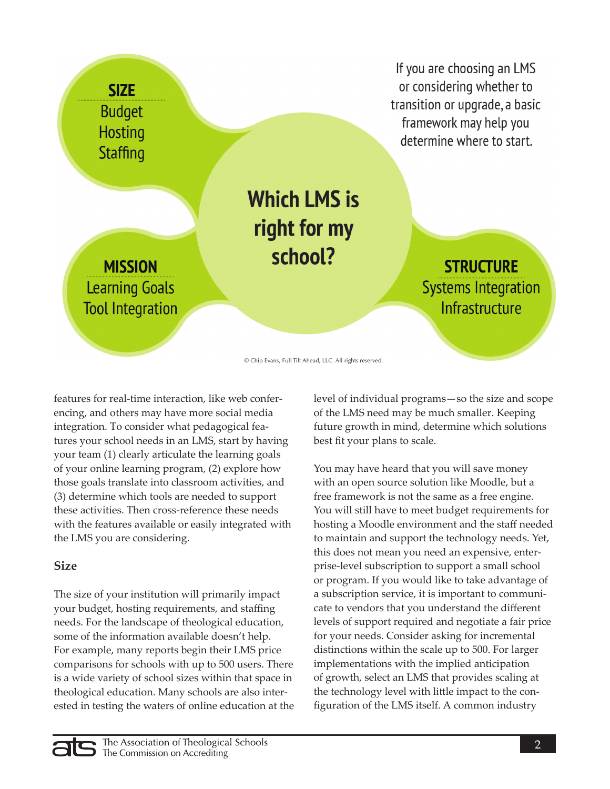

© Chip Evans, Full Tilt Ahead, LLC. All rights reserved.

features for real-time interaction, like web conferencing, and others may have more social media integration. To consider what pedagogical features your school needs in an LMS, start by having your team (1) clearly articulate the learning goals of your online learning program, (2) explore how those goals translate into classroom activities, and (3) determine which tools are needed to support these activities. Then cross-reference these needs with the features available or easily integrated with the LMS you are considering.

#### **Size**

The size of your institution will primarily impact your budget, hosting requirements, and staffing needs. For the landscape of theological education, some of the information available doesn't help. For example, many reports begin their LMS price comparisons for schools with up to 500 users. There is a wide variety of school sizes within that space in theological education. Many schools are also interested in testing the waters of online education at the level of individual programs—so the size and scope of the LMS need may be much smaller. Keeping future growth in mind, determine which solutions best fit your plans to scale.

You may have heard that you will save money with an open source solution like Moodle, but a free framework is not the same as a free engine. You will still have to meet budget requirements for hosting a Moodle environment and the staff needed to maintain and support the technology needs. Yet, this does not mean you need an expensive, enterprise-level subscription to support a small school or program. If you would like to take advantage of a subscription service, it is important to communicate to vendors that you understand the different levels of support required and negotiate a fair price for your needs. Consider asking for incremental distinctions within the scale up to 500. For larger implementations with the implied anticipation of growth, select an LMS that provides scaling at the technology level with little impact to the configuration of the LMS itself. A common industry

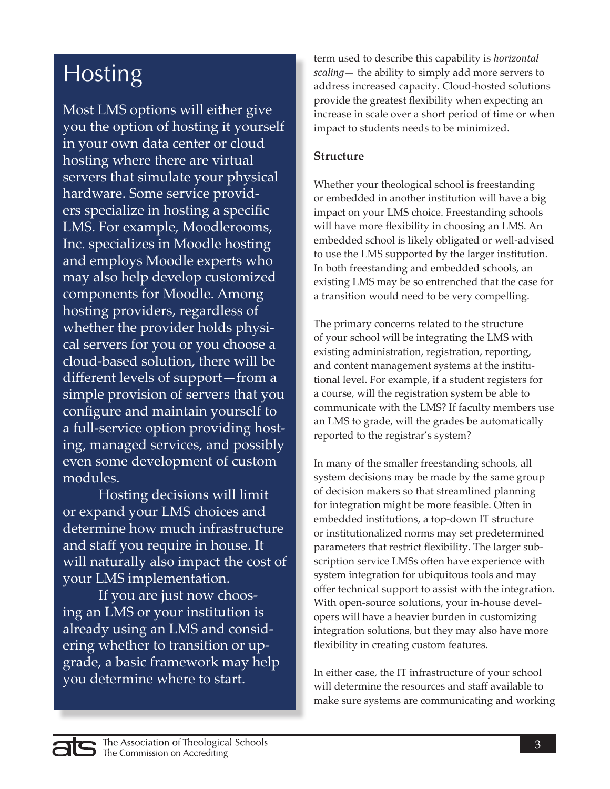# Hosting

Most LMS options will either give you the option of hosting it yourself in your own data center or cloud hosting where there are virtual servers that simulate your physical hardware. Some service providers specialize in hosting a specific LMS. For example, Moodlerooms, Inc. specializes in Moodle hosting and employs Moodle experts who may also help develop customized components for Moodle. Among hosting providers, regardless of whether the provider holds physical servers for you or you choose a cloud-based solution, there will be different levels of support—from a simple provision of servers that you configure and maintain yourself to a full-service option providing hosting, managed services, and possibly even some development of custom modules.

Hosting decisions will limit or expand your LMS choices and determine how much infrastructure and staff you require in house. It will naturally also impact the cost of your LMS implementation.

If you are just now choosing an LMS or your institution is already using an LMS and considering whether to transition or upgrade, a basic framework may help you determine where to start.

term used to describe this capability is *horizontal scaling*— the ability to simply add more servers to address increased capacity. Cloud-hosted solutions provide the greatest flexibility when expecting an increase in scale over a short period of time or when impact to students needs to be minimized.

### **Structure**

Whether your theological school is freestanding or embedded in another institution will have a big impact on your LMS choice. Freestanding schools will have more flexibility in choosing an LMS. An embedded school is likely obligated or well-advised to use the LMS supported by the larger institution. In both freestanding and embedded schools, an existing LMS may be so entrenched that the case for a transition would need to be very compelling.

The primary concerns related to the structure of your school will be integrating the LMS with existing administration, registration, reporting, and content management systems at the institutional level. For example, if a student registers for a course, will the registration system be able to communicate with the LMS? If faculty members use an LMS to grade, will the grades be automatically reported to the registrar's system?

In many of the smaller freestanding schools, all system decisions may be made by the same group of decision makers so that streamlined planning for integration might be more feasible. Often in embedded institutions, a top-down IT structure or institutionalized norms may set predetermined parameters that restrict flexibility. The larger subscription service LMSs often have experience with system integration for ubiquitous tools and may offer technical support to assist with the integration. With open-source solutions, your in-house developers will have a heavier burden in customizing integration solutions, but they may also have more flexibility in creating custom features.

In either case, the IT infrastructure of your school will determine the resources and staff available to make sure systems are communicating and working